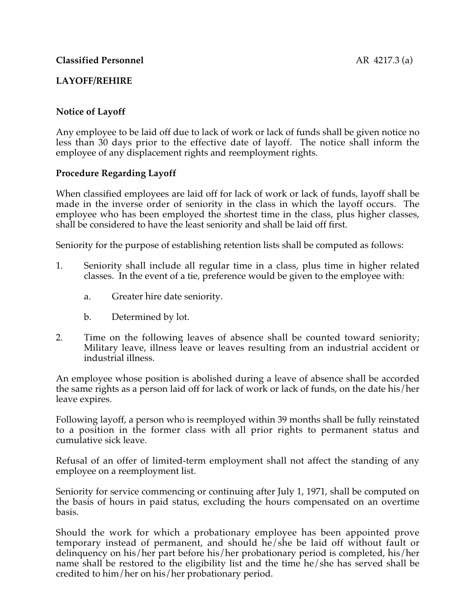# **LAYOFF/REHIRE**

## **Notice of Layoff**

Any employee to be laid off due to lack of work or lack of funds shall be given notice no less than 30 days prior to the effective date of layoff. The notice shall inform the employee of any displacement rights and reemployment rights.

### **Procedure Regarding Layoff**

When classified employees are laid off for lack of work or lack of funds, layoff shall be made in the inverse order of seniority in the class in which the layoff occurs. The employee who has been employed the shortest time in the class, plus higher classes, shall be considered to have the least seniority and shall be laid off first.

Seniority for the purpose of establishing retention lists shall be computed as follows:

- 1. Seniority shall include all regular time in a class, plus time in higher related classes. In the event of a tie, preference would be given to the employee with:
	- a. Greater hire date seniority.
	- b. Determined by lot.
- 2. Time on the following leaves of absence shall be counted toward seniority; Military leave, illness leave or leaves resulting from an industrial accident or industrial illness.

An employee whose position is abolished during a leave of absence shall be accorded the same rights as a person laid off for lack of work or lack of funds, on the date his/her leave expires.

Following layoff, a person who is reemployed within 39 months shall be fully reinstated to a position in the former class with all prior rights to permanent status and cumulative sick leave.

Refusal of an offer of limited-term employment shall not affect the standing of any employee on a reemployment list.

Seniority for service commencing or continuing after July 1, 1971, shall be computed on the basis of hours in paid status, excluding the hours compensated on an overtime basis.

Should the work for which a probationary employee has been appointed prove temporary instead of permanent, and should he/she be laid off without fault or delinquency on his/her part before his/her probationary period is completed, his/her name shall be restored to the eligibility list and the time he/she has served shall be credited to him/her on his/her probationary period.